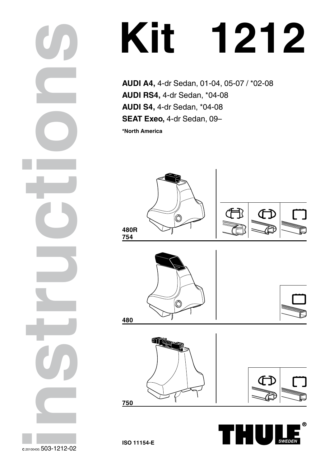**AUDI A4,** 4-dr Sedan, 01-04, 05-07 / \*02-08 **AUDI RS4,** 4-dr Sedan, \*04-08 **AUDI S4,** 4-dr Sedan, \*04-08 **SEAT Exeo,** 4-dr Sedan, 09–

**\*North America**









**750**







**ISO 11154-E**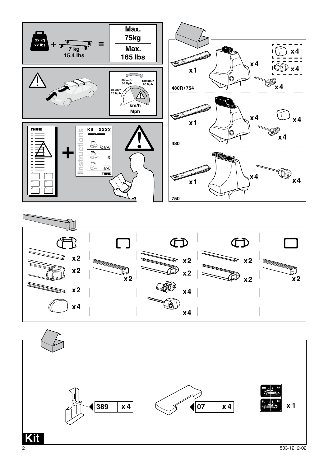





2 503-1212-02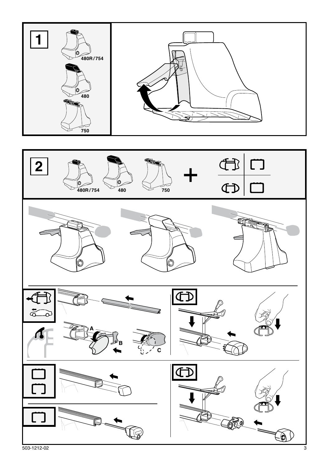

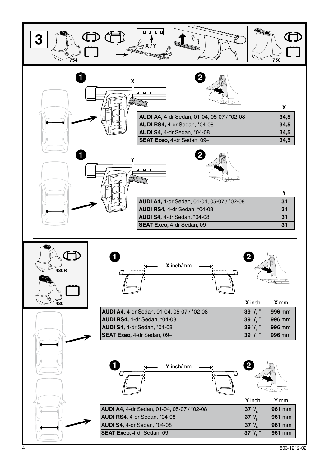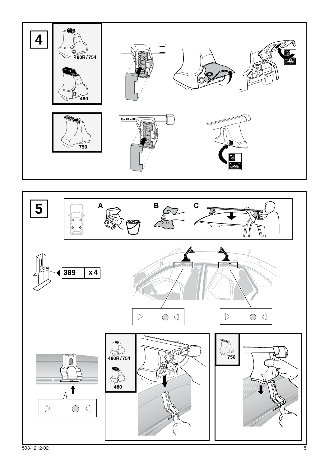



503-1212-02 5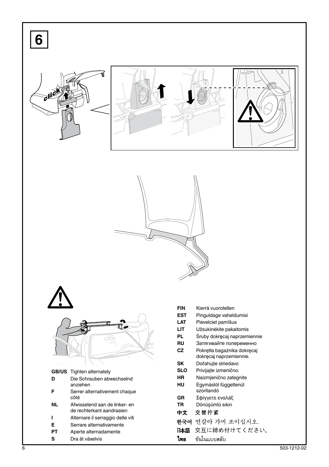| 6         |                                                            |                   |                                                         |             |
|-----------|------------------------------------------------------------|-------------------|---------------------------------------------------------|-------------|
|           |                                                            |                   |                                                         | لا          |
|           |                                                            |                   |                                                         |             |
|           |                                                            |                   |                                                         |             |
|           |                                                            | <b>FIN</b>        | Kierrä vuorotellen                                      |             |
|           |                                                            | <b>EST</b><br>LAT | Pinguldage vaheldumisi<br>Pievelciet pamīšus            |             |
|           | ឃ∝                                                         | LIТ<br>PL.        | Užsukinėkite pakaitomis                                 |             |
|           |                                                            | RU                | Śruby dokręcaj naprzemiennie<br>Затягивайте попеременно |             |
|           |                                                            | CZ                | Pokrętła bagażnika dokręcaj                             |             |
|           |                                                            | SK                | dokręcaj naprzemiennie.<br>Doťahujte striedavo          |             |
|           | <b>GB/US</b> Tighten alternately                           | <b>SLO</b>        | Privijajte izmenično.                                   |             |
| D         | Die Schrauben abwechselnd                                  | HR<br>HU          | Naizmjenično zategnite<br>Egymástól függetlenül         |             |
| F         | anziehen<br>Serrer alternativement chaque                  |                   | szorítandó                                              |             |
|           | côté                                                       | GR                | Σφίγγετε εναλάξ                                         |             |
| <b>NL</b> | Afwisselend aan de linker- en<br>de rechterkant aandraaien | TR<br>中文          | Dönüşümlü sıkın<br>交替拧紧                                 |             |
| L         | Alternare il serraggio delle viti                          |                   | 한국어 번갈아 가며 조이십시오.                                       |             |
| E         | Serrare alternativamente                                   | 日本語               | 交互に締め付けてください。                                           |             |
| PT<br>s   | Aperte alternadamente<br>Dra åt växelvis                   | ไทย               | ขันในแบบสลับ                                            |             |
| 6         |                                                            |                   |                                                         | 503-1212-02 |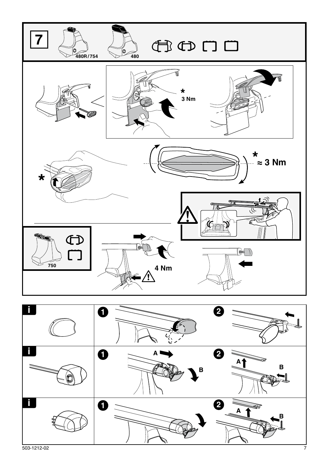